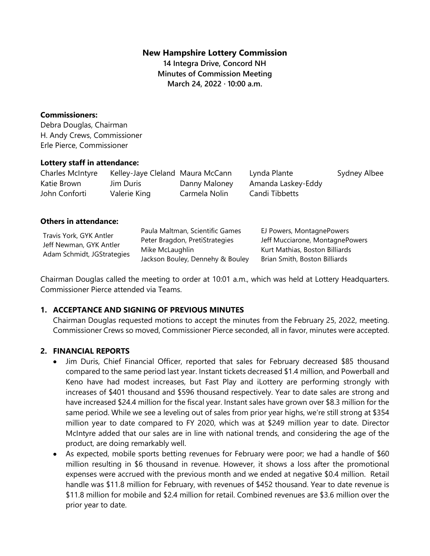### **New Hampshire Lottery Commission**

**14 Integra Drive, Concord NH Minutes of Commission Meeting March 24, 2022 · 10:00 a.m.**

#### **Commissioners:**

Debra Douglas, Chairman H. Andy Crews, Commissioner Erle Pierce, Commissioner

#### **Lottery staff in attendance:**

| Charles McIntyre | Kelley-Jaye Cleland Maura McCann |               | Lynda Plante       | Sydney Albee |
|------------------|----------------------------------|---------------|--------------------|--------------|
| Katie Brown      | Jim Duris                        | Danny Maloney | Amanda Laskey-Eddy |              |
| John Conforti    | Valerie King                     | Carmela Nolin | Candi Tibbetts     |              |

#### **Others in attendance:**

| Travis York, GYK Antler    | Paula Maltman, Scientific Games<br>Peter Bragdon, PretiStrategies | EJ Powers, MontagnePowers<br>Jeff Mucciarone, MontagnePowers |
|----------------------------|-------------------------------------------------------------------|--------------------------------------------------------------|
| Jeff Newman, GYK Antler    | Mike McLaughlin                                                   | Kurt Mathias, Boston Billiards                               |
| Adam Schmidt, JGStrategies | Jackson Bouley, Dennehy & Bouley                                  | Brian Smith, Boston Billiards                                |

Chairman Douglas called the meeting to order at 10:01 a.m., which was held at Lottery Headquarters. Commissioner Pierce attended via Teams.

### **1. ACCEPTANCE AND SIGNING OF PREVIOUS MINUTES**

Chairman Douglas requested motions to accept the minutes from the February 25, 2022, meeting. Commissioner Crews so moved, Commissioner Pierce seconded, all in favor, minutes were accepted.

### **2. FINANCIAL REPORTS**

- Jim Duris, Chief Financial Officer, reported that sales for February decreased \$85 thousand compared to the same period last year. Instant tickets decreased \$1.4 million, and Powerball and Keno have had modest increases, but Fast Play and iLottery are performing strongly with increases of \$401 thousand and \$596 thousand respectively. Year to date sales are strong and have increased \$24.4 million for the fiscal year. Instant sales have grown over \$8.3 million for the same period. While we see a leveling out of sales from prior year highs, we're still strong at \$354 million year to date compared to FY 2020, which was at \$249 million year to date. Director McIntyre added that our sales are in line with national trends, and considering the age of the product, are doing remarkably well.
- As expected, mobile sports betting revenues for February were poor; we had a handle of \$60 million resulting in \$6 thousand in revenue. However, it shows a loss after the promotional expenses were accrued with the previous month and we ended at negative \$0.4 million. Retail handle was \$11.8 million for February, with revenues of \$452 thousand. Year to date revenue is \$11.8 million for mobile and \$2.4 million for retail. Combined revenues are \$3.6 million over the prior year to date.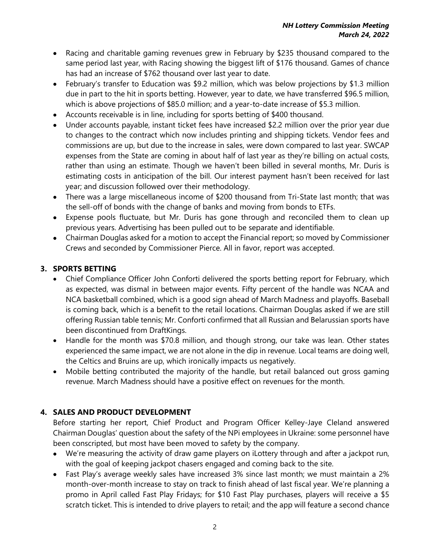- Racing and charitable gaming revenues grew in February by \$235 thousand compared to the same period last year, with Racing showing the biggest lift of \$176 thousand. Games of chance has had an increase of \$762 thousand over last year to date.
- February's transfer to Education was \$9.2 million, which was below projections by \$1.3 million due in part to the hit in sports betting. However, year to date, we have transferred \$96.5 million, which is above projections of \$85.0 million; and a year-to-date increase of \$5.3 million.
- Accounts receivable is in line, including for sports betting of \$400 thousand.
- Under accounts payable, instant ticket fees have increased \$2.2 million over the prior year due to changes to the contract which now includes printing and shipping tickets. Vendor fees and commissions are up, but due to the increase in sales, were down compared to last year. SWCAP expenses from the State are coming in about half of last year as they're billing on actual costs, rather than using an estimate. Though we haven't been billed in several months, Mr. Duris is estimating costs in anticipation of the bill. Our interest payment hasn't been received for last year; and discussion followed over their methodology.
- There was a large miscellaneous income of \$200 thousand from Tri-State last month; that was the sell-off of bonds with the change of banks and moving from bonds to ETFs.
- Expense pools fluctuate, but Mr. Duris has gone through and reconciled them to clean up previous years. Advertising has been pulled out to be separate and identifiable.
- Chairman Douglas asked for a motion to accept the Financial report; so moved by Commissioner Crews and seconded by Commissioner Pierce. All in favor, report was accepted.

# **3. SPORTS BETTING**

- Chief Compliance Officer John Conforti delivered the sports betting report for February, which as expected, was dismal in between major events. Fifty percent of the handle was NCAA and NCA basketball combined, which is a good sign ahead of March Madness and playoffs. Baseball is coming back, which is a benefit to the retail locations. Chairman Douglas asked if we are still offering Russian table tennis; Mr. Conforti confirmed that all Russian and Belarussian sports have been discontinued from DraftKings.
- Handle for the month was \$70.8 million, and though strong, our take was lean. Other states experienced the same impact, we are not alone in the dip in revenue. Local teams are doing well, the Celtics and Bruins are up, which ironically impacts us negatively.
- Mobile betting contributed the majority of the handle, but retail balanced out gross gaming revenue. March Madness should have a positive effect on revenues for the month.

# **4. SALES AND PRODUCT DEVELOPMENT**

Before starting her report, Chief Product and Program Officer Kelley-Jaye Cleland answered Chairman Douglas' question about the safety of the NPi employees in Ukraine: some personnel have been conscripted, but most have been moved to safety by the company.

- We're measuring the activity of draw game players on iLottery through and after a jackpot run, with the goal of keeping jackpot chasers engaged and coming back to the site.
- Fast Play's average weekly sales have increased 3% since last month; we must maintain a 2% month-over-month increase to stay on track to finish ahead of last fiscal year. We're planning a promo in April called Fast Play Fridays; for \$10 Fast Play purchases, players will receive a \$5 scratch ticket. This is intended to drive players to retail; and the app will feature a second chance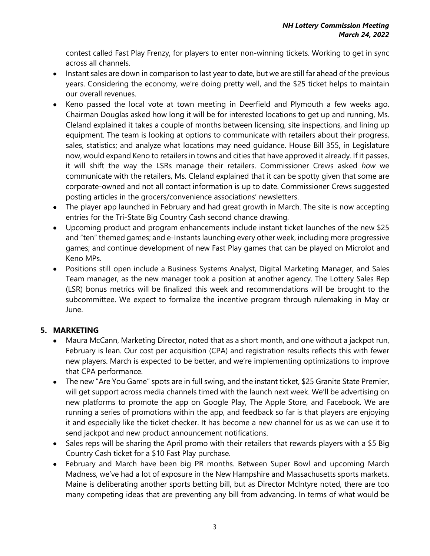contest called Fast Play Frenzy, for players to enter non-winning tickets. Working to get in sync across all channels.

- Instant sales are down in comparison to last year to date, but we are still far ahead of the previous years. Considering the economy, we're doing pretty well, and the \$25 ticket helps to maintain our overall revenues.
- Keno passed the local vote at town meeting in Deerfield and Plymouth a few weeks ago. Chairman Douglas asked how long it will be for interested locations to get up and running, Ms. Cleland explained it takes a couple of months between licensing, site inspections, and lining up equipment. The team is looking at options to communicate with retailers about their progress, sales, statistics; and analyze what locations may need guidance. House Bill 355, in Legislature now, would expand Keno to retailers in towns and cities that have approved it already. If it passes, it will shift the way the LSRs manage their retailers. Commissioner Crews asked *how* we communicate with the retailers, Ms. Cleland explained that it can be spotty given that some are corporate-owned and not all contact information is up to date. Commissioner Crews suggested posting articles in the grocers/convenience associations' newsletters.
- The player app launched in February and had great growth in March. The site is now accepting entries for the Tri-State Big Country Cash second chance drawing.
- Upcoming product and program enhancements include instant ticket launches of the new \$25 and "ten" themed games; and e-Instants launching every other week, including more progressive games; and continue development of new Fast Play games that can be played on Microlot and Keno MPs.
- Positions still open include a Business Systems Analyst, Digital Marketing Manager, and Sales Team manager, as the new manager took a position at another agency. The Lottery Sales Rep (LSR) bonus metrics will be finalized this week and recommendations will be brought to the subcommittee. We expect to formalize the incentive program through rulemaking in May or June.

# **5. MARKETING**

- Maura McCann, Marketing Director, noted that as a short month, and one without a jackpot run, February is lean. Our cost per acquisition (CPA) and registration results reflects this with fewer new players. March is expected to be better, and we're implementing optimizations to improve that CPA performance.
- The new "Are You Game" spots are in full swing, and the instant ticket, \$25 Granite State Premier, will get support across media channels timed with the launch next week. We'll be advertising on new platforms to promote the app on Google Play, The Apple Store, and Facebook. We are running a series of promotions within the app, and feedback so far is that players are enjoying it and especially like the ticket checker. It has become a new channel for us as we can use it to send jackpot and new product announcement notifications.
- Sales reps will be sharing the April promo with their retailers that rewards players with a \$5 Big Country Cash ticket for a \$10 Fast Play purchase.
- February and March have been big PR months. Between Super Bowl and upcoming March Madness, we've had a lot of exposure in the New Hampshire and Massachusetts sports markets. Maine is deliberating another sports betting bill, but as Director McIntyre noted, there are too many competing ideas that are preventing any bill from advancing. In terms of what would be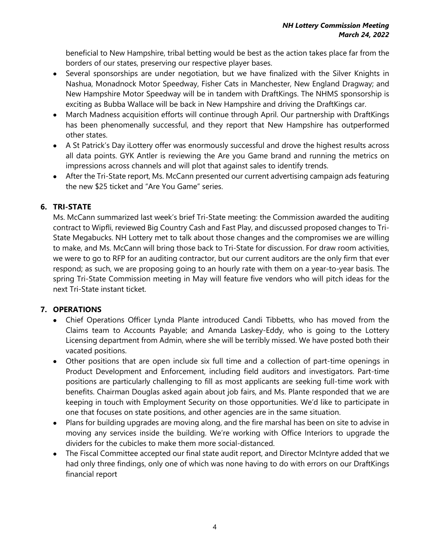beneficial to New Hampshire, tribal betting would be best as the action takes place far from the borders of our states, preserving our respective player bases.

- Several sponsorships are under negotiation, but we have finalized with the Silver Knights in Nashua, Monadnock Motor Speedway, Fisher Cats in Manchester, New England Dragway; and New Hampshire Motor Speedway will be in tandem with DraftKings. The NHMS sponsorship is exciting as Bubba Wallace will be back in New Hampshire and driving the DraftKings car.
- March Madness acquisition efforts will continue through April. Our partnership with DraftKings has been phenomenally successful, and they report that New Hampshire has outperformed other states.
- A St Patrick's Day iLottery offer was enormously successful and drove the highest results across all data points. GYK Antler is reviewing the Are you Game brand and running the metrics on impressions across channels and will plot that against sales to identify trends.
- After the Tri-State report, Ms. McCann presented our current advertising campaign ads featuring the new \$25 ticket and "Are You Game" series.

## **6. TRI-STATE**

Ms. McCann summarized last week's brief Tri-State meeting: the Commission awarded the auditing contract to Wipfli, reviewed Big Country Cash and Fast Play, and discussed proposed changes to Tri-State Megabucks. NH Lottery met to talk about those changes and the compromises we are willing to make, and Ms. McCann will bring those back to Tri-State for discussion. For draw room activities, we were to go to RFP for an auditing contractor, but our current auditors are the only firm that ever respond; as such, we are proposing going to an hourly rate with them on a year-to-year basis. The spring Tri-State Commission meeting in May will feature five vendors who will pitch ideas for the next Tri-State instant ticket.

### **7. OPERATIONS**

- Chief Operations Officer Lynda Plante introduced Candi Tibbetts, who has moved from the Claims team to Accounts Payable; and Amanda Laskey-Eddy, who is going to the Lottery Licensing department from Admin, where she will be terribly missed. We have posted both their vacated positions.
- Other positions that are open include six full time and a collection of part-time openings in Product Development and Enforcement, including field auditors and investigators. Part-time positions are particularly challenging to fill as most applicants are seeking full-time work with benefits. Chairman Douglas asked again about job fairs, and Ms. Plante responded that we are keeping in touch with Employment Security on those opportunities. We'd like to participate in one that focuses on state positions, and other agencies are in the same situation.
- Plans for building upgrades are moving along, and the fire marshal has been on site to advise in moving any services inside the building. We're working with Office Interiors to upgrade the dividers for the cubicles to make them more social-distanced.
- The Fiscal Committee accepted our final state audit report, and Director McIntyre added that we had only three findings, only one of which was none having to do with errors on our DraftKings financial report